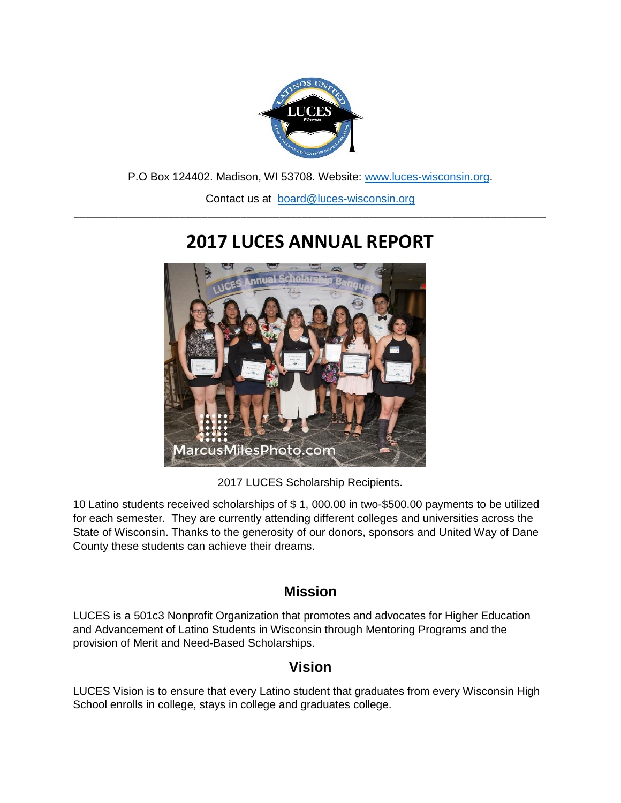

P.O Box 124402. Madison, WI 53708. Website: [www.luces-wisconsin.org.](http://www.luces-wisconsin.org/)

Contact us at [board@luces-wisconsin.org](mailto:board@luces-wisconsin.org) \_\_\_\_\_\_\_\_\_\_\_\_\_\_\_\_\_\_\_\_\_\_\_\_\_\_\_\_\_\_\_\_\_\_\_\_\_\_\_\_\_\_\_\_\_\_\_\_\_\_\_\_\_\_\_\_\_\_\_\_\_\_\_\_\_\_\_\_\_\_\_\_\_\_\_\_\_\_\_\_\_\_\_\_\_

# **2017 LUCES ANNUAL REPORT**



2017 LUCES Scholarship Recipients.

10 Latino students received scholarships of \$ 1, 000.00 in two-\$500.00 payments to be utilized for each semester. They are currently attending different colleges and universities across the State of Wisconsin. Thanks to the generosity of our donors, sponsors and United Way of Dane County these students can achieve their dreams.

#### **Mission**

LUCES is a 501c3 Nonprofit Organization that promotes and advocates for Higher Education and Advancement of Latino Students in Wisconsin through Mentoring Programs and the provision of Merit and Need-Based Scholarships.

### **Vision**

LUCES Vision is to ensure that every Latino student that graduates from every Wisconsin High School enrolls in college, stays in college and graduates college.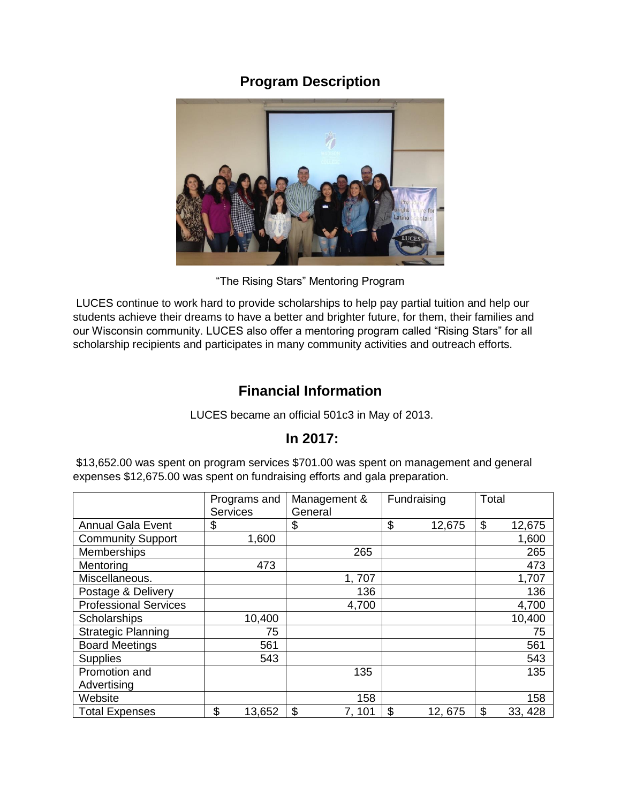# **Program Description**



"The Rising Stars" Mentoring Program

LUCES continue to work hard to provide scholarships to help pay partial tuition and help our students achieve their dreams to have a better and brighter future, for them, their families and our Wisconsin community. LUCES also offer a mentoring program called "Rising Stars" for all scholarship recipients and participates in many community activities and outreach efforts.

# **Financial Information**

LUCES became an official 501c3 in May of 2013.

### **In 2017:**

\$13,652.00 was spent on program services \$701.00 was spent on management and general expenses \$12,675.00 was spent on fundraising efforts and gala preparation.

|                              | Programs and<br><b>Services</b> | Management &<br>General | Fundraising  | Total         |
|------------------------------|---------------------------------|-------------------------|--------------|---------------|
| <b>Annual Gala Event</b>     | \$                              | \$                      | \$<br>12,675 | \$<br>12,675  |
| <b>Community Support</b>     | 1,600                           |                         |              | 1,600         |
| Memberships                  |                                 | 265                     |              | 265           |
| Mentoring                    | 473                             |                         |              | 473           |
| Miscellaneous.               |                                 | 1,707                   |              | 1,707         |
| Postage & Delivery           |                                 | 136                     |              | 136           |
| <b>Professional Services</b> |                                 | 4,700                   |              | 4,700         |
| Scholarships                 | 10,400                          |                         |              | 10,400        |
| <b>Strategic Planning</b>    | 75                              |                         |              | 75            |
| <b>Board Meetings</b>        | 561                             |                         |              | 561           |
| Supplies                     | 543                             |                         |              | 543           |
| Promotion and                |                                 | 135                     |              | 135           |
| Advertising                  |                                 |                         |              |               |
| Website                      |                                 | 158                     |              | 158           |
| <b>Total Expenses</b>        | \$<br>13,652                    | \$<br>7, 101            | \$<br>12,675 | \$<br>33, 428 |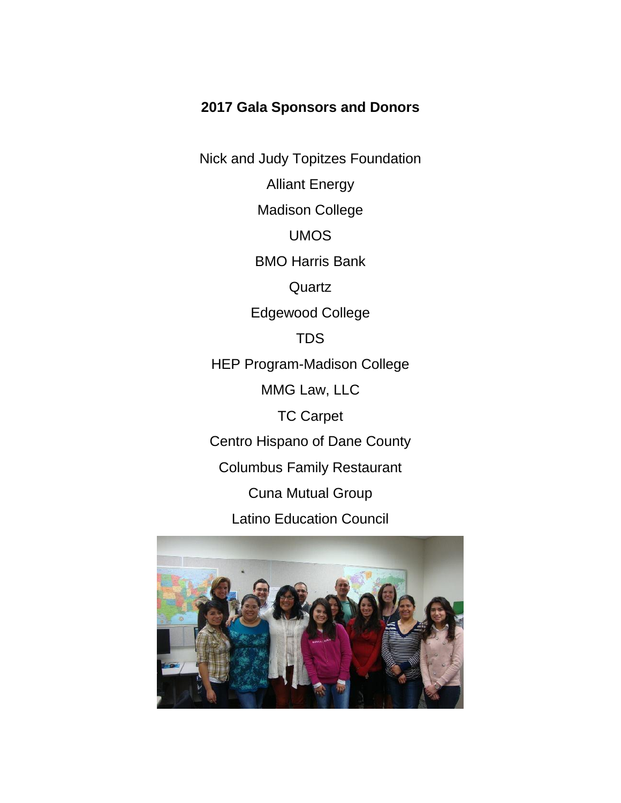## **2017 Gala Sponsors and Donors**

Nick and Judy Topitzes Foundation Alliant Energy Madison College UMOS BMO Harris Bank **Quartz** Edgewood College TDS HEP Program-Madison College MMG Law, LLC TC Carpet Centro Hispano of Dane County Columbus Family Restaurant Cuna Mutual Group Latino Education Council

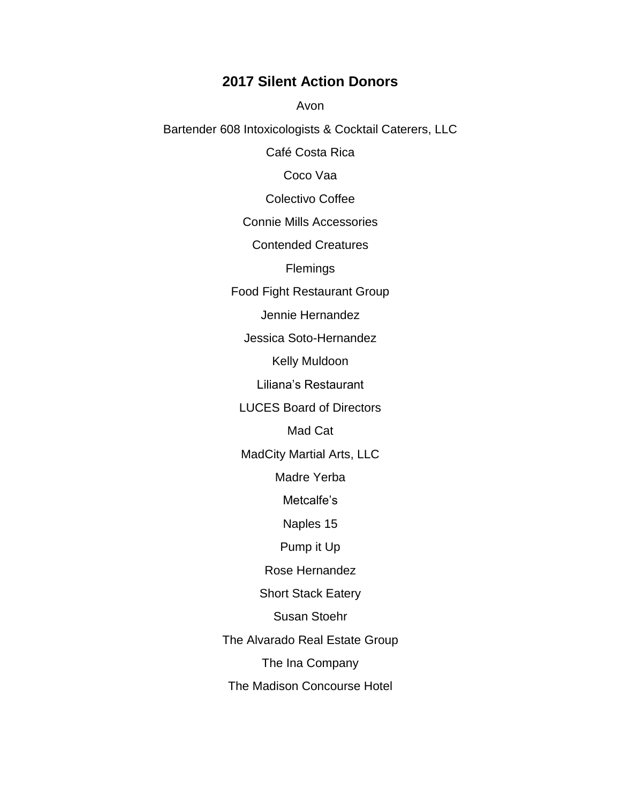#### **2017 Silent Action Donors**

Avon

Bartender 608 Intoxicologists & Cocktail Caterers, LLC

Café Costa Rica

Coco Vaa

Colectivo Coffee

Connie Mills Accessories

Contended Creatures

**Flemings** 

Food Fight Restaurant Group

Jennie Hernandez

Jessica Soto-Hernandez

Kelly Muldoon

Liliana's Restaurant

LUCES Board of Directors

Mad Cat

MadCity Martial Arts, LLC

Madre Yerba

Metcalfe's

Naples 15

Pump it Up

Rose Hernandez

Short Stack Eatery

Susan Stoehr

The Alvarado Real Estate Group

The Ina Company

The Madison Concourse Hotel